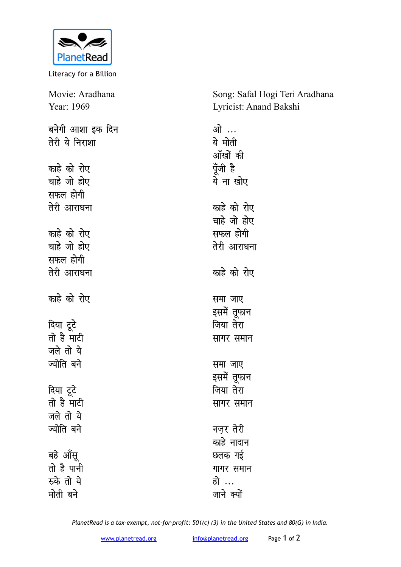

Literacy for a Billion

| Movie: Aradhana  | Song: Safal Hogi Teri Aradhana |  |
|------------------|--------------------------------|--|
| Year: 1969       | Lyricist: Anand Bakshi         |  |
| बनेगी आशा इक दिन | ओ …                            |  |
| तेरी ये निराशा   | ये मोती                        |  |
|                  | आँखों की                       |  |
| काहे को रोए      | पूँजी है                       |  |
| चाहे जो होए      | ये ना खोए                      |  |
| सफल होगी         |                                |  |
| तेरी आराधना      | काहे को रोए                    |  |
|                  | चाहे जो होए                    |  |
| काहे को रोए      | सफल होगी                       |  |
| चाहे जो होए      | तेरी आराधना                    |  |
| सफल होगी         |                                |  |
| तेरी आराधना      | काहे को रोए                    |  |
|                  |                                |  |
| काहे को रोए      | समा जाए                        |  |
|                  | इसमें तूफान                    |  |
| दिया टूटे        | जिया तेरा                      |  |
| तो है माटी       | सागर समान                      |  |
| जले तो ये        |                                |  |
| ज्योति बने       | समा जाए                        |  |
|                  | इसमें तूफान                    |  |
| दिया टूटे        | जिया तेरा                      |  |
| तो है माटी       | सागर समान                      |  |
| जले तो ये        |                                |  |
| ज्योति बने       | नज़र तेरी                      |  |
|                  | काहे नादान                     |  |
| बहे आँसू         | छलक गई                         |  |
| तो है पानी       | गागर समान                      |  |
| रुके तो ये       | हो …                           |  |
| मोती बने         | जाने क्यों                     |  |

*PlanetRead is a tax-exempt, not-for-profit: 501(c) (3) in the United States and 80(G) in India.*